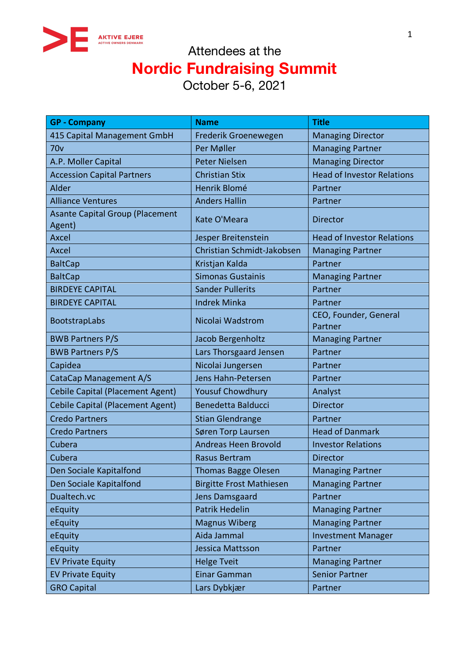

| <b>GP - Company</b>                              | <b>Name</b>                     | <b>Title</b>                      |
|--------------------------------------------------|---------------------------------|-----------------------------------|
| 415 Capital Management GmbH                      | Frederik Groenewegen            | <b>Managing Director</b>          |
| 70v                                              | Per Møller                      | <b>Managing Partner</b>           |
| A.P. Moller Capital                              | <b>Peter Nielsen</b>            | <b>Managing Director</b>          |
| <b>Accession Capital Partners</b>                | <b>Christian Stix</b>           | <b>Head of Investor Relations</b> |
| Alder                                            | Henrik Blomé                    | Partner                           |
| <b>Alliance Ventures</b>                         | <b>Anders Hallin</b>            | Partner                           |
| <b>Asante Capital Group (Placement</b><br>Agent) | Kate O'Meara                    | <b>Director</b>                   |
| <b>Axcel</b>                                     | Jesper Breitenstein             | <b>Head of Investor Relations</b> |
| <b>Axcel</b>                                     | Christian Schmidt-Jakobsen      | <b>Managing Partner</b>           |
| <b>BaltCap</b>                                   | Kristjan Kalda                  | Partner                           |
| <b>BaltCap</b>                                   | <b>Simonas Gustainis</b>        | <b>Managing Partner</b>           |
| <b>BIRDEYE CAPITAL</b>                           | <b>Sander Pullerits</b>         | Partner                           |
| <b>BIRDEYE CAPITAL</b>                           | <b>Indrek Minka</b>             | Partner                           |
| BootstrapLabs                                    | Nicolai Wadstrom                | CEO, Founder, General<br>Partner  |
| <b>BWB Partners P/S</b>                          | Jacob Bergenholtz               | <b>Managing Partner</b>           |
| <b>BWB Partners P/S</b>                          | Lars Thorsgaard Jensen          | Partner                           |
| Capidea                                          | Nicolai Jungersen               | Partner                           |
| CataCap Management A/S                           | Jens Hahn-Petersen              | Partner                           |
| <b>Cebile Capital (Placement Agent)</b>          | <b>Yousuf Chowdhury</b>         | Analyst                           |
| <b>Cebile Capital (Placement Agent)</b>          | <b>Benedetta Balducci</b>       | <b>Director</b>                   |
| <b>Credo Partners</b>                            | <b>Stian Glendrange</b>         | Partner                           |
| <b>Credo Partners</b>                            | Søren Torp Laursen              | <b>Head of Danmark</b>            |
| Cubera                                           | <b>Andreas Heen Brovold</b>     | <b>Investor Relations</b>         |
| Cubera                                           | <b>Rasus Bertram</b>            | <b>Director</b>                   |
| Den Sociale Kapitalfond                          | Thomas Bagge Olesen             | <b>Managing Partner</b>           |
| Den Sociale Kapitalfond                          | <b>Birgitte Frost Mathiesen</b> | <b>Managing Partner</b>           |
| Dualtech.vc                                      | Jens Damsgaard                  | Partner                           |
| eEquity                                          | <b>Patrik Hedelin</b>           | <b>Managing Partner</b>           |
| eEquity                                          | <b>Magnus Wiberg</b>            | <b>Managing Partner</b>           |
| eEquity                                          | Aida Jammal                     | <b>Investment Manager</b>         |
| eEquity                                          | Jessica Mattsson                | Partner                           |
| <b>EV Private Equity</b>                         | <b>Helge Tveit</b>              | <b>Managing Partner</b>           |
| <b>EV Private Equity</b>                         | Einar Gamman                    | <b>Senior Partner</b>             |
| <b>GRO Capital</b>                               | Lars Dybkjær                    | Partner                           |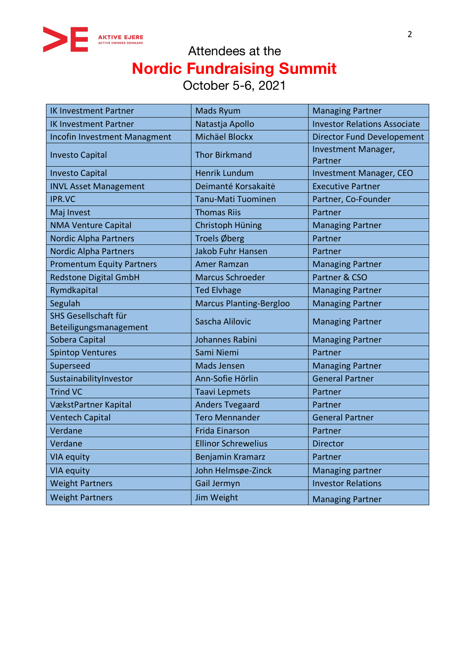

| <b>IK Investment Partner</b>                   | <b>Mads Ryum</b>               | <b>Managing Partner</b>             |
|------------------------------------------------|--------------------------------|-------------------------------------|
| <b>IK Investment Partner</b>                   | Natastja Apollo                | <b>Investor Relations Associate</b> |
| <b>Incofin Investment Managment</b>            | Michäel Blockx                 | <b>Director Fund Developement</b>   |
| <b>Investo Capital</b>                         | <b>Thor Birkmand</b>           | Investment Manager,<br>Partner      |
| <b>Investo Capital</b>                         | <b>Henrik Lundum</b>           | Investment Manager, CEO             |
| <b>INVL Asset Management</b>                   | Deimanté Korsakaitė            | <b>Executive Partner</b>            |
| <b>IPR.VC</b>                                  | Tanu-Mati Tuominen             | Partner, Co-Founder                 |
| Maj Invest                                     | <b>Thomas Riis</b>             | Partner                             |
| <b>NMA Venture Capital</b>                     | Christoph Hüning               | <b>Managing Partner</b>             |
| <b>Nordic Alpha Partners</b>                   | Troels Øberg                   | Partner                             |
| <b>Nordic Alpha Partners</b>                   | <b>Jakob Fuhr Hansen</b>       | Partner                             |
| <b>Promentum Equity Partners</b>               | Amer Ramzan                    | <b>Managing Partner</b>             |
| <b>Redstone Digital GmbH</b>                   | <b>Marcus Schroeder</b>        | Partner & CSO                       |
| Rymdkapital                                    | <b>Ted Elvhage</b>             | <b>Managing Partner</b>             |
| Segulah                                        | <b>Marcus Planting-Bergloo</b> | <b>Managing Partner</b>             |
| SHS Gesellschaft für<br>Beteiligungsmanagement | Sascha Alilovic                | <b>Managing Partner</b>             |
| Sobera Capital                                 | Johannes Rabini                | <b>Managing Partner</b>             |
| <b>Spintop Ventures</b>                        | Sami Niemi                     | Partner                             |
| Superseed                                      | Mads Jensen                    | <b>Managing Partner</b>             |
| SustainabilityInvestor                         | Ann-Sofie Hörlin               | <b>General Partner</b>              |
| <b>Trind VC</b>                                | <b>Taavi Lepmets</b>           | Partner                             |
| VækstPartner Kapital                           | <b>Anders Tvegaard</b>         | Partner                             |
| <b>Ventech Capital</b>                         | <b>Tero Mennander</b>          | <b>General Partner</b>              |
| Verdane                                        | <b>Frida Einarson</b>          | Partner                             |
| Verdane                                        | <b>Ellinor Schrewelius</b>     | <b>Director</b>                     |
| <b>VIA equity</b>                              | Benjamin Kramarz               | Partner                             |
| <b>VIA equity</b>                              | John Helmsøe-Zinck             | Managing partner                    |
| <b>Weight Partners</b>                         | Gail Jermyn                    | <b>Investor Relations</b>           |
| <b>Weight Partners</b>                         | Jim Weight                     | <b>Managing Partner</b>             |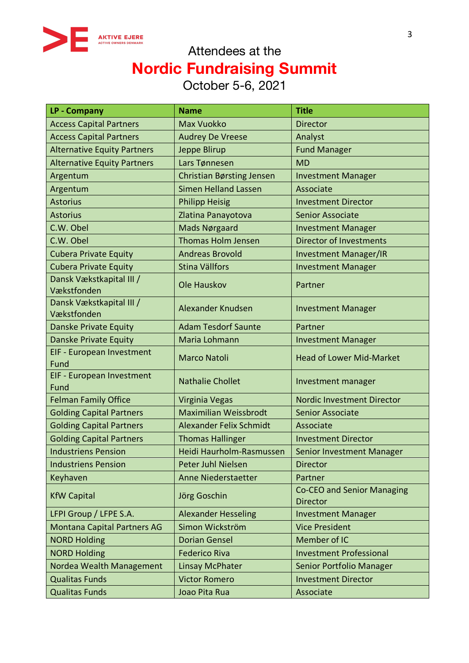

| LP - Company                            | <b>Name</b>                      | <b>Title</b>                                         |
|-----------------------------------------|----------------------------------|------------------------------------------------------|
| <b>Access Capital Partners</b>          | <b>Max Vuokko</b>                | <b>Director</b>                                      |
| <b>Access Capital Partners</b>          | <b>Audrey De Vreese</b>          | Analyst                                              |
| <b>Alternative Equity Partners</b>      | Jeppe Blirup                     | <b>Fund Manager</b>                                  |
| <b>Alternative Equity Partners</b>      | Lars Tønnesen                    | <b>MD</b>                                            |
| Argentum                                | <b>Christian Børsting Jensen</b> | <b>Investment Manager</b>                            |
| Argentum                                | <b>Simen Helland Lassen</b>      | Associate                                            |
| <b>Astorius</b>                         | <b>Philipp Heisig</b>            | <b>Investment Director</b>                           |
| <b>Astorius</b>                         | Zlatina Panayotova               | <b>Senior Associate</b>                              |
| C.W. Obel                               | Mads Nørgaard                    | <b>Investment Manager</b>                            |
| C.W. Obel                               | <b>Thomas Holm Jensen</b>        | <b>Director of Investments</b>                       |
| <b>Cubera Private Equity</b>            | <b>Andreas Brovold</b>           | <b>Investment Manager/IR</b>                         |
| <b>Cubera Private Equity</b>            | Stina Vällfors                   | <b>Investment Manager</b>                            |
| Dansk Vækstkapital III /<br>Vækstfonden | Ole Hauskov                      | Partner                                              |
| Dansk Vækstkapital III /<br>Vækstfonden | Alexander Knudsen                | <b>Investment Manager</b>                            |
| Danske Private Equity                   | <b>Adam Tesdorf Saunte</b>       | Partner                                              |
| <b>Danske Private Equity</b>            | Maria Lohmann                    | <b>Investment Manager</b>                            |
| EIF - European Investment<br>Fund       | <b>Marco Natoli</b>              | <b>Head of Lower Mid-Market</b>                      |
| EIF - European Investment<br>Fund       | <b>Nathalie Chollet</b>          | Investment manager                                   |
| <b>Felman Family Office</b>             | Virginia Vegas                   | <b>Nordic Investment Director</b>                    |
| <b>Golding Capital Partners</b>         | <b>Maximilian Weissbrodt</b>     | <b>Senior Associate</b>                              |
| <b>Golding Capital Partners</b>         | Alexander Felix Schmidt          | Associate                                            |
| <b>Golding Capital Partners</b>         | <b>Thomas Hallinger</b>          | <b>Investment Director</b>                           |
| <b>Industriens Pension</b>              | Heidi Haurholm-Rasmussen         | <b>Senior Investment Manager</b>                     |
| <b>Industriens Pension</b>              | <b>Peter Juhl Nielsen</b>        | <b>Director</b>                                      |
| Keyhaven                                | Anne Niederstaetter              | Partner                                              |
| <b>KfW Capital</b>                      | Jörg Goschin                     | <b>Co-CEO and Senior Managing</b><br><b>Director</b> |
| LFPI Group / LFPE S.A.                  | <b>Alexander Hesseling</b>       | <b>Investment Manager</b>                            |
| <b>Montana Capital Partners AG</b>      | Simon Wickström                  | <b>Vice President</b>                                |
| <b>NORD Holding</b>                     | <b>Dorian Gensel</b>             | Member of IC                                         |
| <b>NORD Holding</b>                     | <b>Federico Riva</b>             | <b>Investment Professional</b>                       |
| Nordea Wealth Management                | <b>Linsay McPhater</b>           | <b>Senior Portfolio Manager</b>                      |
| <b>Qualitas Funds</b>                   | <b>Victor Romero</b>             | <b>Investment Director</b>                           |
| <b>Qualitas Funds</b>                   | Joao Pita Rua                    | Associate                                            |